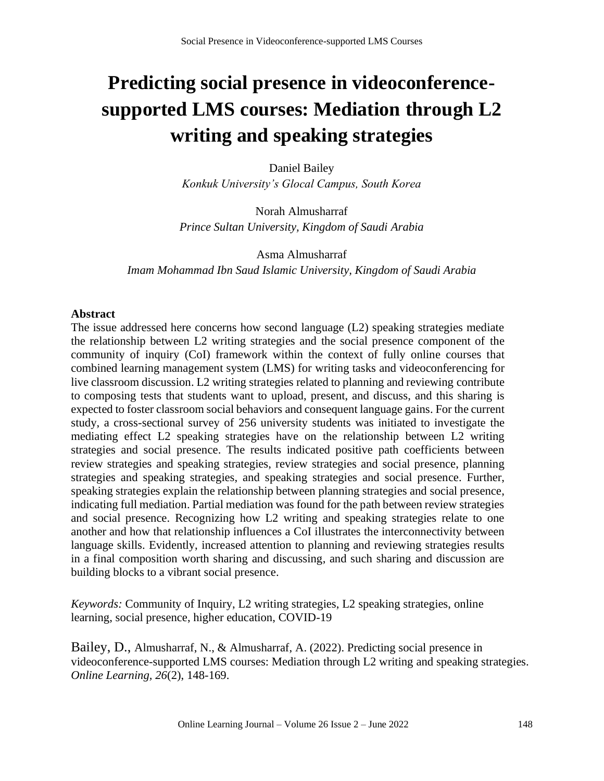# **Predicting social presence in videoconferencesupported LMS courses: Mediation through L2 writing and speaking strategies**

Daniel Bailey *Konkuk University's Glocal Campus, South Korea*

Norah Almusharraf *Prince Sultan University, Kingdom of Saudi Arabia*

Asma Almusharraf *Imam Mohammad Ibn Saud Islamic University, Kingdom of Saudi Arabia*

## **Abstract**

The issue addressed here concerns how second language (L2) speaking strategies mediate the relationship between L2 writing strategies and the social presence component of the community of inquiry (CoI) framework within the context of fully online courses that combined learning management system (LMS) for writing tasks and videoconferencing for live classroom discussion. L2 writing strategies related to planning and reviewing contribute to composing tests that students want to upload, present, and discuss, and this sharing is expected to foster classroom social behaviors and consequent language gains. For the current study, a cross-sectional survey of 256 university students was initiated to investigate the mediating effect L2 speaking strategies have on the relationship between L2 writing strategies and social presence. The results indicated positive path coefficients between review strategies and speaking strategies, review strategies and social presence, planning strategies and speaking strategies, and speaking strategies and social presence. Further, speaking strategies explain the relationship between planning strategies and social presence, indicating full mediation. Partial mediation was found for the path between review strategies and social presence. Recognizing how L2 writing and speaking strategies relate to one another and how that relationship influences a CoI illustrates the interconnectivity between language skills. Evidently, increased attention to planning and reviewing strategies results in a final composition worth sharing and discussing, and such sharing and discussion are building blocks to a vibrant social presence.

*Keywords:* Community of Inquiry, L2 writing strategies, L2 speaking strategies, online learning, social presence, higher education, COVID-19

Bailey, D., Almusharraf, N., & Almusharraf, A. (2022). Predicting social presence in videoconference-supported LMS courses: Mediation through L2 writing and speaking strategies. *Online Learning, 26*(2), 148-169.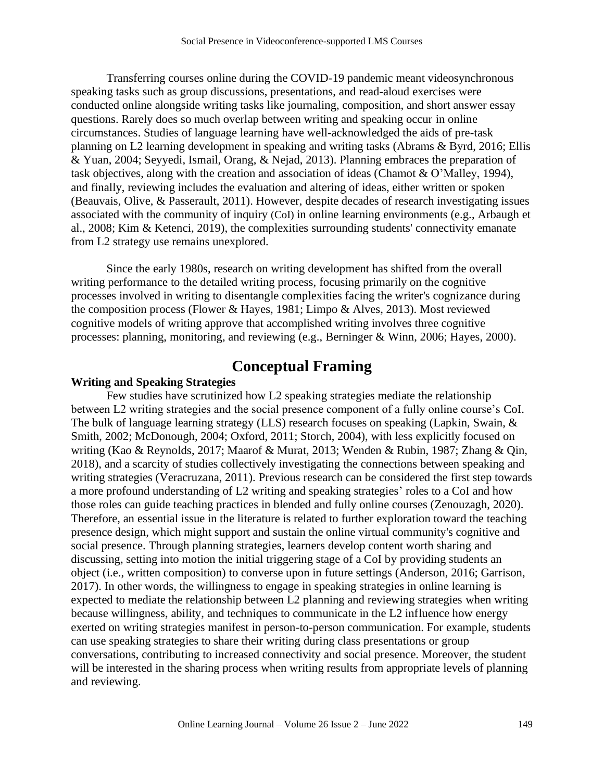Transferring courses online during the COVID-19 pandemic meant videosynchronous speaking tasks such as group discussions, presentations, and read-aloud exercises were conducted online alongside writing tasks like journaling, composition, and short answer essay questions. Rarely does so much overlap between writing and speaking occur in online circumstances. Studies of language learning have well-acknowledged the aids of pre-task planning on L2 learning development in speaking and writing tasks (Abrams & Byrd, 2016; Ellis & Yuan, 2004; Seyyedi, Ismail, Orang, & Nejad, 2013). Planning embraces the preparation of task objectives, along with the creation and association of ideas (Chamot & O'Malley, 1994), and finally, reviewing includes the evaluation and altering of ideas, either written or spoken (Beauvais, Olive, & Passerault, 2011). However, despite decades of research investigating issues associated with the community of inquiry (CoI) in online learning environments (e.g., Arbaugh et al., 2008; Kim & Ketenci, 2019), the complexities surrounding students' connectivity emanate from L2 strategy use remains unexplored.

Since the early 1980s, research on writing development has shifted from the overall writing performance to the detailed writing process, focusing primarily on the cognitive processes involved in writing to disentangle complexities facing the writer's cognizance during the composition process (Flower & Hayes, 1981; Limpo & Alves, 2013). Most reviewed cognitive models of writing approve that accomplished writing involves three cognitive processes: planning, monitoring, and reviewing (e.g., Berninger & Winn, 2006; Hayes, 2000).

# **Conceptual Framing**

#### **Writing and Speaking Strategies**

Few studies have scrutinized how L2 speaking strategies mediate the relationship between L2 writing strategies and the social presence component of a fully online course's CoI. The bulk of language learning strategy (LLS) research focuses on speaking (Lapkin, Swain, & Smith, 2002; McDonough, 2004; Oxford, 2011; Storch, 2004), with less explicitly focused on writing (Kao & Reynolds, 2017; Maarof & Murat, 2013; Wenden & Rubin, 1987; Zhang & Qin, 2018), and a scarcity of studies collectively investigating the connections between speaking and writing strategies (Veracruzana, 2011). Previous research can be considered the first step towards a more profound understanding of L2 writing and speaking strategies' roles to a CoI and how those roles can guide teaching practices in blended and fully online courses (Zenouzagh, 2020). Therefore, an essential issue in the literature is related to further exploration toward the teaching presence design, which might support and sustain the online virtual community's cognitive and social presence. Through planning strategies, learners develop content worth sharing and discussing, setting into motion the initial triggering stage of a CoI by providing students an object (i.e., written composition) to converse upon in future settings (Anderson, 2016; Garrison, 2017). In other words, the willingness to engage in speaking strategies in online learning is expected to mediate the relationship between L2 planning and reviewing strategies when writing because willingness, ability, and techniques to communicate in the L2 influence how energy exerted on writing strategies manifest in person-to-person communication. For example, students can use speaking strategies to share their writing during class presentations or group conversations, contributing to increased connectivity and social presence. Moreover, the student will be interested in the sharing process when writing results from appropriate levels of planning and reviewing.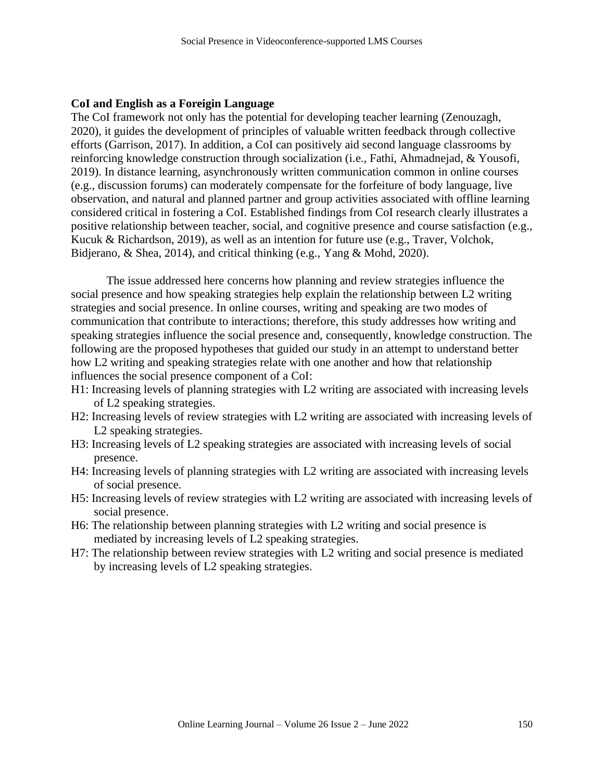#### **CoI and English as a Foreigin Language**

The CoI framework not only has the potential for developing teacher learning (Zenouzagh, 2020), it guides the development of principles of valuable written feedback through collective efforts (Garrison, 2017). In addition, a CoI can positively aid second language classrooms by reinforcing knowledge construction through socialization (i.e., Fathi, Ahmadnejad, & Yousofi, 2019). In distance learning, asynchronously written communication common in online courses (e.g., discussion forums) can moderately compensate for the forfeiture of body language, live observation, and natural and planned partner and group activities associated with offline learning considered critical in fostering a CoI. Established findings from CoI research clearly illustrates a positive relationship between teacher, social, and cognitive presence and course satisfaction (e.g., Kucuk & Richardson, 2019), as well as an intention for future use (e.g., Traver, Volchok, Bidjerano, & Shea, 2014), and critical thinking (e.g., Yang & Mohd, 2020).

The issue addressed here concerns how planning and review strategies influence the social presence and how speaking strategies help explain the relationship between L2 writing strategies and social presence. In online courses, writing and speaking are two modes of communication that contribute to interactions; therefore, this study addresses how writing and speaking strategies influence the social presence and, consequently, knowledge construction. The following are the proposed hypotheses that guided our study in an attempt to understand better how L2 writing and speaking strategies relate with one another and how that relationship influences the social presence component of a CoI:

- H1: Increasing levels of planning strategies with L2 writing are associated with increasing levels of L2 speaking strategies.
- H2: Increasing levels of review strategies with L2 writing are associated with increasing levels of L2 speaking strategies.
- H3: Increasing levels of L2 speaking strategies are associated with increasing levels of social presence.
- H4: Increasing levels of planning strategies with L2 writing are associated with increasing levels of social presence.
- H5: Increasing levels of review strategies with L2 writing are associated with increasing levels of social presence.
- H6: The relationship between planning strategies with L2 writing and social presence is mediated by increasing levels of L2 speaking strategies.
- H7: The relationship between review strategies with L2 writing and social presence is mediated by increasing levels of L2 speaking strategies.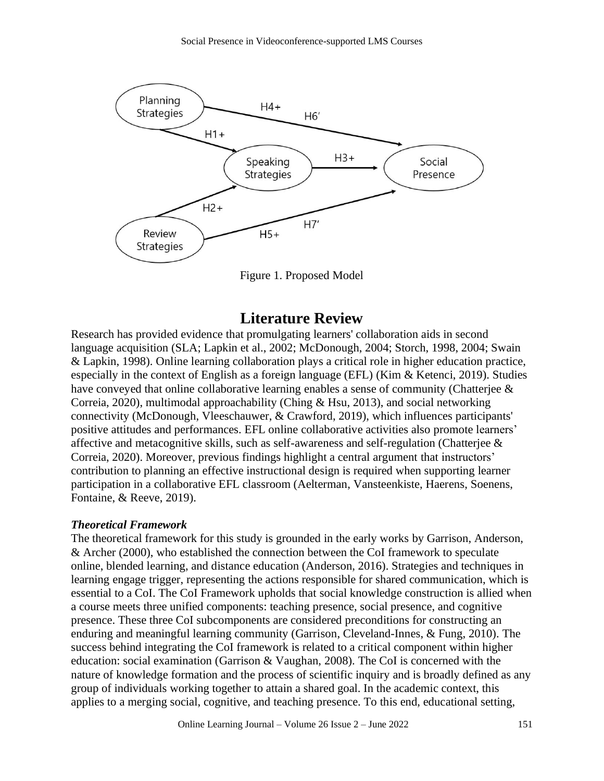

Figure 1. Proposed Model

# **Literature Review**

Research has provided evidence that promulgating learners' collaboration aids in second language acquisition (SLA; Lapkin et al., 2002; McDonough, 2004; Storch, 1998, 2004; Swain & Lapkin, 1998). Online learning collaboration plays a critical role in higher education practice, especially in the context of English as a foreign language (EFL) (Kim & Ketenci, 2019). Studies have conveyed that online collaborative learning enables a sense of community (Chatterjee & Correia, 2020), multimodal approachability (Ching & Hsu, 2013), and social networking connectivity (McDonough, Vleeschauwer, & Crawford, 2019), which influences participants' positive attitudes and performances. EFL online collaborative activities also promote learners' affective and metacognitive skills, such as self-awareness and self-regulation (Chatterjee  $\&$ Correia, 2020). Moreover, previous findings highlight a central argument that instructors' contribution to planning an effective instructional design is required when supporting learner participation in a collaborative EFL classroom (Aelterman, Vansteenkiste, Haerens, Soenens, Fontaine, & Reeve, 2019).

# *Theoretical Framework*

The theoretical framework for this study is grounded in the early works by Garrison, Anderson, & Archer (2000), who established the connection between the CoI framework to speculate online, blended learning, and distance education (Anderson, 2016). Strategies and techniques in learning engage trigger, representing the actions responsible for shared communication, which is essential to a CoI. The CoI Framework upholds that social knowledge construction is allied when a course meets three unified components: teaching presence, social presence, and cognitive presence. These three CoI subcomponents are considered preconditions for constructing an enduring and meaningful learning community (Garrison, Cleveland-Innes, & Fung, 2010). The success behind integrating the CoI framework is related to a critical component within higher education: social examination (Garrison & Vaughan, 2008). The CoI is concerned with the nature of knowledge formation and the process of scientific inquiry and is broadly defined as any group of individuals working together to attain a shared goal. In the academic context, this applies to a merging social, cognitive, and teaching presence. To this end, educational setting,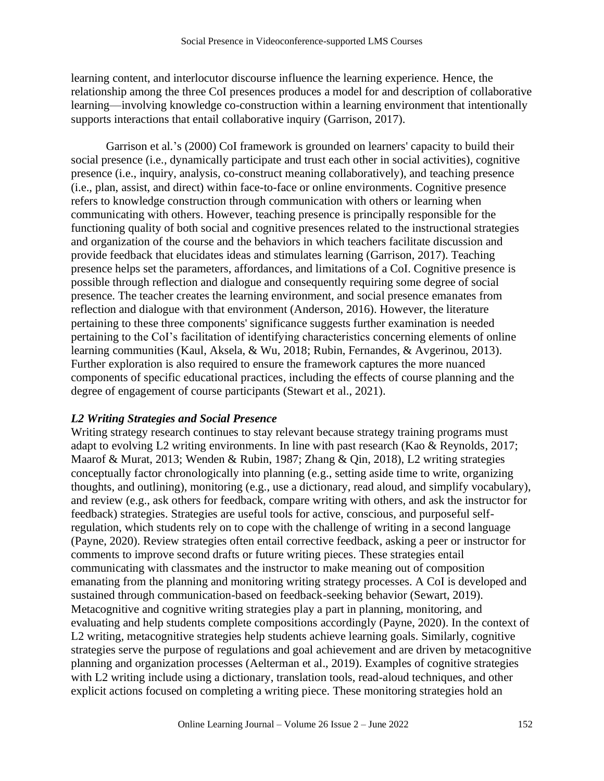learning content, and interlocutor discourse influence the learning experience. Hence, the relationship among the three CoI presences produces a model for and description of collaborative learning—involving knowledge co-construction within a learning environment that intentionally supports interactions that entail collaborative inquiry (Garrison, 2017).

Garrison et al.'s (2000) CoI framework is grounded on learners' capacity to build their social presence (i.e., dynamically participate and trust each other in social activities), cognitive presence (i.e., inquiry, analysis, co-construct meaning collaboratively), and teaching presence (i.e., plan, assist, and direct) within face-to-face or online environments. Cognitive presence refers to knowledge construction through communication with others or learning when communicating with others. However, teaching presence is principally responsible for the functioning quality of both social and cognitive presences related to the instructional strategies and organization of the course and the behaviors in which teachers facilitate discussion and provide feedback that elucidates ideas and stimulates learning (Garrison, 2017). Teaching presence helps set the parameters, affordances, and limitations of a CoI. Cognitive presence is possible through reflection and dialogue and consequently requiring some degree of social presence. The teacher creates the learning environment, and social presence emanates from reflection and dialogue with that environment (Anderson, 2016). However, the literature pertaining to these three components' significance suggests further examination is needed pertaining to the CoI's facilitation of identifying characteristics concerning elements of online learning communities (Kaul, Aksela, & Wu, 2018; Rubin, Fernandes, & Avgerinou, 2013). Further exploration is also required to ensure the framework captures the more nuanced components of specific educational practices, including the effects of course planning and the degree of engagement of course participants (Stewart et al., 2021).

# *L2 Writing Strategies and Social Presence*

Writing strategy research continues to stay relevant because strategy training programs must adapt to evolving L2 writing environments. In line with past research (Kao & Reynolds, 2017; Maarof & Murat, 2013; Wenden & Rubin, 1987; Zhang & Qin, 2018), L2 writing strategies conceptually factor chronologically into planning (e.g., setting aside time to write, organizing thoughts, and outlining), monitoring (e.g., use a dictionary, read aloud, and simplify vocabulary), and review (e.g., ask others for feedback, compare writing with others, and ask the instructor for feedback) strategies. Strategies are useful tools for active, conscious, and purposeful selfregulation, which students rely on to cope with the challenge of writing in a second language (Payne, 2020). Review strategies often entail corrective feedback, asking a peer or instructor for comments to improve second drafts or future writing pieces. These strategies entail communicating with classmates and the instructor to make meaning out of composition emanating from the planning and monitoring writing strategy processes. A CoI is developed and sustained through communication-based on feedback-seeking behavior (Sewart, 2019). Metacognitive and cognitive writing strategies play a part in planning, monitoring, and evaluating and help students complete compositions accordingly (Payne, 2020). In the context of L2 writing, metacognitive strategies help students achieve learning goals. Similarly, cognitive strategies serve the purpose of regulations and goal achievement and are driven by metacognitive planning and organization processes (Aelterman et al., 2019). Examples of cognitive strategies with L2 writing include using a dictionary, translation tools, read-aloud techniques, and other explicit actions focused on completing a writing piece. These monitoring strategies hold an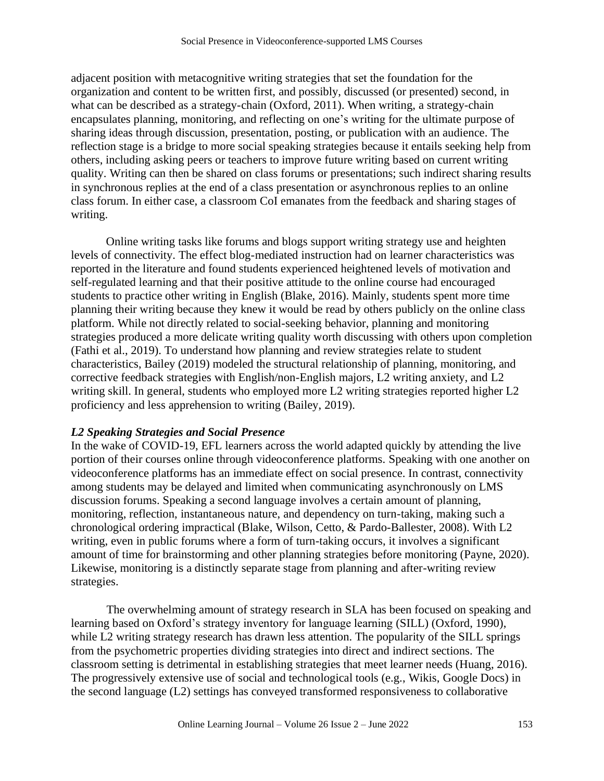adjacent position with metacognitive writing strategies that set the foundation for the organization and content to be written first, and possibly, discussed (or presented) second, in what can be described as a strategy-chain (Oxford, 2011). When writing, a strategy-chain encapsulates planning, monitoring, and reflecting on one's writing for the ultimate purpose of sharing ideas through discussion, presentation, posting, or publication with an audience. The reflection stage is a bridge to more social speaking strategies because it entails seeking help from others, including asking peers or teachers to improve future writing based on current writing quality. Writing can then be shared on class forums or presentations; such indirect sharing results in synchronous replies at the end of a class presentation or asynchronous replies to an online class forum. In either case, a classroom CoI emanates from the feedback and sharing stages of writing.

Online writing tasks like forums and blogs support writing strategy use and heighten levels of connectivity. The effect blog-mediated instruction had on learner characteristics was reported in the literature and found students experienced heightened levels of motivation and self-regulated learning and that their positive attitude to the online course had encouraged students to practice other writing in English (Blake, 2016). Mainly, students spent more time planning their writing because they knew it would be read by others publicly on the online class platform. While not directly related to social-seeking behavior, planning and monitoring strategies produced a more delicate writing quality worth discussing with others upon completion (Fathi et al., 2019). To understand how planning and review strategies relate to student characteristics, Bailey (2019) modeled the structural relationship of planning, monitoring, and corrective feedback strategies with English/non-English majors, L2 writing anxiety, and L2 writing skill. In general, students who employed more L2 writing strategies reported higher L2 proficiency and less apprehension to writing (Bailey, 2019).

# *L2 Speaking Strategies and Social Presence*

In the wake of COVID-19, EFL learners across the world adapted quickly by attending the live portion of their courses online through videoconference platforms. Speaking with one another on videoconference platforms has an immediate effect on social presence. In contrast, connectivity among students may be delayed and limited when communicating asynchronously on LMS discussion forums. Speaking a second language involves a certain amount of planning, monitoring, reflection, instantaneous nature, and dependency on turn-taking, making such a chronological ordering impractical (Blake, Wilson, Cetto, & Pardo-Ballester, 2008). With L2 writing, even in public forums where a form of turn-taking occurs, it involves a significant amount of time for brainstorming and other planning strategies before monitoring (Payne, 2020). Likewise, monitoring is a distinctly separate stage from planning and after-writing review strategies.

The overwhelming amount of strategy research in SLA has been focused on speaking and learning based on Oxford's strategy inventory for language learning (SILL) (Oxford, 1990), while L2 writing strategy research has drawn less attention. The popularity of the SILL springs from the psychometric properties dividing strategies into direct and indirect sections. The classroom setting is detrimental in establishing strategies that meet learner needs (Huang, 2016). The progressively extensive use of social and technological tools (e.g., Wikis, Google Docs) in the second language (L2) settings has conveyed transformed responsiveness to collaborative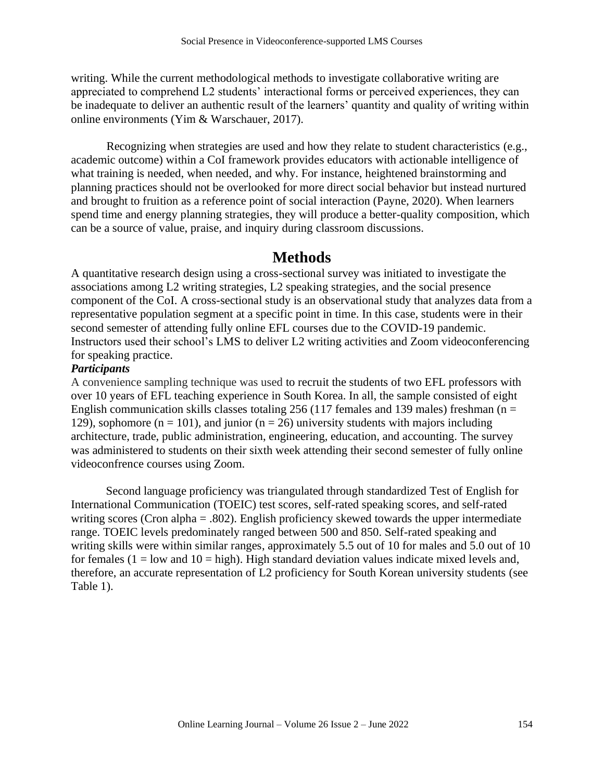writing. While the current methodological methods to investigate collaborative writing are appreciated to comprehend L2 students' interactional forms or perceived experiences, they can be inadequate to deliver an authentic result of the learners' quantity and quality of writing within online environments (Yim & Warschauer, 2017).

Recognizing when strategies are used and how they relate to student characteristics (e.g., academic outcome) within a CoI framework provides educators with actionable intelligence of what training is needed, when needed, and why. For instance, heightened brainstorming and planning practices should not be overlooked for more direct social behavior but instead nurtured and brought to fruition as a reference point of social interaction (Payne, 2020). When learners spend time and energy planning strategies, they will produce a better-quality composition, which can be a source of value, praise, and inquiry during classroom discussions.

# **Methods**

A quantitative research design using a cross-sectional survey was initiated to investigate the associations among L2 writing strategies, L2 speaking strategies, and the social presence component of the CoI. A cross-sectional study is an observational study that analyzes data from a representative population segment at a specific point in time. In this case, students were in their second semester of attending fully online EFL courses due to the COVID-19 pandemic. Instructors used their school's LMS to deliver L2 writing activities and Zoom videoconferencing for speaking practice.

## *Participants*

A convenience sampling technique was used to recruit the students of two EFL professors with over 10 years of EFL teaching experience in South Korea. In all, the sample consisted of eight English communication skills classes totaling 256 (117 females and 139 males) freshman ( $n =$ 129), sophomore ( $n = 101$ ), and junior ( $n = 26$ ) university students with majors including architecture, trade, public administration, engineering, education, and accounting. The survey was administered to students on their sixth week attending their second semester of fully online videoconfrence courses using Zoom.

Second language proficiency was triangulated through standardized Test of English for International Communication (TOEIC) test scores, self-rated speaking scores, and self-rated writing scores (Cron alpha = .802). English proficiency skewed towards the upper intermediate range. TOEIC levels predominately ranged between 500 and 850. Self-rated speaking and writing skills were within similar ranges, approximately 5.5 out of 10 for males and 5.0 out of 10 for females ( $1 =$ low and  $10 =$ high). High standard deviation values indicate mixed levels and, therefore, an accurate representation of L2 proficiency for South Korean university students (see Table 1).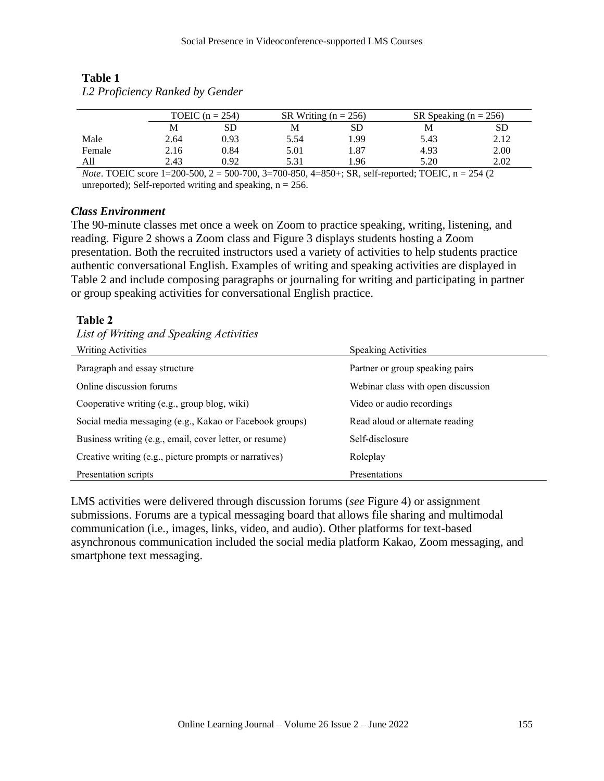|        | TOEIC $(n = 254)$                             |      | SR Writing ( $n = 256$ ) |                                                 | SR Speaking ( $n = 256$ ) |                                      |  |
|--------|-----------------------------------------------|------|--------------------------|-------------------------------------------------|---------------------------|--------------------------------------|--|
|        |                                               | SD   | M                        | SD                                              | M                         | SD                                   |  |
| Male   | 2.64                                          | 0.93 | 5.54                     | .99                                             | 5.43                      | 2.12                                 |  |
| Female | 2.16                                          | 0.84 | 5.01                     | 1.87                                            | 4.93                      | 2.00                                 |  |
| All    | 2.43                                          | 0.92 | 5.31                     | .96                                             | 5.20                      | 2.02                                 |  |
|        | $\mathcal{U}$ $\sim$ TOFIC $\sim$ 1.300 500.3 |      |                          | $500.700.2.700.050.4.050.001.10 \times 1.00010$ |                           | $\Delta$ $\approx$ $\Delta$ $\Delta$ |  |

# **Table 1** *L2 Proficiency Ranked by Gender*

*Note*. TOEIC score 1=200-500, 2 = 500-700, 3=700-850, 4=850+; SR, self-reported; TOEIC, n = 254 (2) unreported); Self-reported writing and speaking,  $n = 256$ .

# *Class Environment*

The 90-minute classes met once a week on Zoom to practice speaking, writing, listening, and reading. Figure 2 shows a Zoom class and Figure 3 displays students hosting a Zoom presentation. Both the recruited instructors used a variety of activities to help students practice authentic conversational English. Examples of writing and speaking activities are displayed in Table 2 and include composing paragraphs or journaling for writing and participating in partner or group speaking activities for conversational English practice.

# **Table 2**

## *List of Writing and Speaking Activities*

| Writing Activities                                      | <b>Speaking Activities</b>         |
|---------------------------------------------------------|------------------------------------|
| Paragraph and essay structure                           | Partner or group speaking pairs    |
| Online discussion forums                                | Webinar class with open discussion |
| Cooperative writing (e.g., group blog, wiki)            | Video or audio recordings          |
| Social media messaging (e.g., Kakao or Facebook groups) | Read aloud or alternate reading    |
| Business writing (e.g., email, cover letter, or resume) | Self-disclosure                    |
| Creative writing (e.g., picture prompts or narratives)  | Roleplay                           |
| Presentation scripts                                    | Presentations                      |

LMS activities were delivered through discussion forums (*see* Figure 4) or assignment submissions. Forums are a typical messaging board that allows file sharing and multimodal communication (i.e., images, links, video, and audio). Other platforms for text-based asynchronous communication included the social media platform Kakao, Zoom messaging, and smartphone text messaging.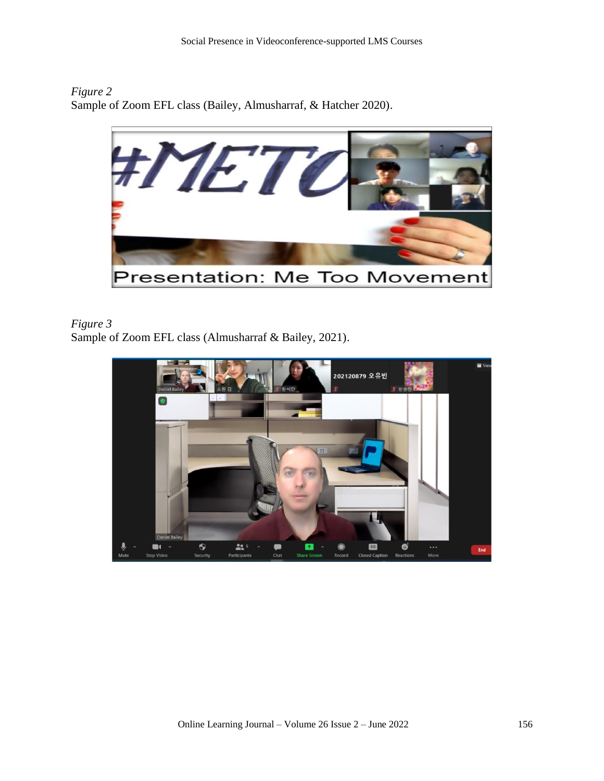*Figure 2* Sample of Zoom EFL class (Bailey, Almusharraf, & Hatcher 2020).



# *Figure 3*

Sample of Zoom EFL class (Almusharraf & Bailey, 2021).

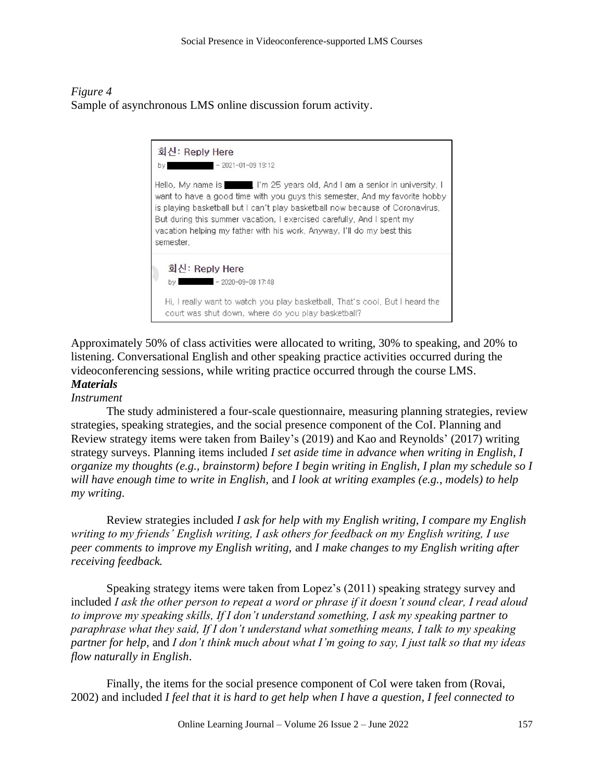*Figure 4* Sample of asynchronous LMS online discussion forum activity.



Approximately 50% of class activities were allocated to writing, 30% to speaking, and 20% to listening. Conversational English and other speaking practice activities occurred during the videoconferencing sessions, while writing practice occurred through the course LMS. *Materials*

# *Instrument*

The study administered a four-scale questionnaire, measuring planning strategies, review strategies, speaking strategies, and the social presence component of the CoI. Planning and Review strategy items were taken from Bailey's (2019) and Kao and Reynolds' (2017) writing strategy surveys. Planning items included *I set aside time in advance when writing in English*, *I organize my thoughts (e.g., brainstorm) before I begin writing in English*, *I plan my schedule so I will have enough time to write in English,* and *I look at writing examples (e.g., models) to help my writing*.

Review strategies included *I ask for help with my English writing, I compare my English writing to my friends' English writing, I ask others for feedback on my English writing, I use peer comments to improve my English writing,* and *I make changes to my English writing after receiving feedback.*

Speaking strategy items were taken from Lopez's (2011) speaking strategy survey and included *I ask the other person to repeat a word or phrase if it doesn't sound clear, I read aloud to improve my speaking skills, If I don't understand something, I ask my speaking partner to paraphrase what they said, If I don't understand what something means, I talk to my speaking partner for help,* and *I don't think much about what I'm going to say, I just talk so that my ideas flow naturally in English*.

Finally, the items for the social presence component of CoI were taken from (Rovai, 2002) and included *I feel that it is hard to get help when I have a question, I feel connected to*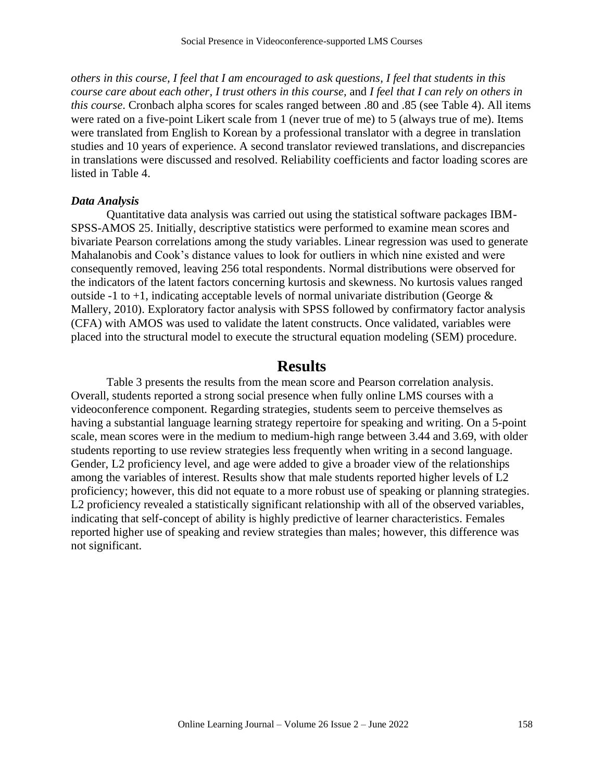*others in this course, I feel that I am encouraged to ask questions, I feel that students in this course care about each other, I trust others in this course,* and *I feel that I can rely on others in this course*. Cronbach alpha scores for scales ranged between .80 and .85 (see Table 4). All items were rated on a five-point Likert scale from 1 (never true of me) to 5 (always true of me). Items were translated from English to Korean by a professional translator with a degree in translation studies and 10 years of experience. A second translator reviewed translations, and discrepancies in translations were discussed and resolved. Reliability coefficients and factor loading scores are listed in Table 4.

#### *Data Analysis*

Quantitative data analysis was carried out using the statistical software packages IBM-SPSS-AMOS 25. Initially, descriptive statistics were performed to examine mean scores and bivariate Pearson correlations among the study variables. Linear regression was used to generate Mahalanobis and Cook's distance values to look for outliers in which nine existed and were consequently removed, leaving 256 total respondents. Normal distributions were observed for the indicators of the latent factors concerning kurtosis and skewness. No kurtosis values ranged outside -1 to +1, indicating acceptable levels of normal univariate distribution (George  $\&$ Mallery, 2010). Exploratory factor analysis with SPSS followed by confirmatory factor analysis (CFA) with AMOS was used to validate the latent constructs. Once validated, variables were placed into the structural model to execute the structural equation modeling (SEM) procedure.

# **Results**

Table 3 presents the results from the mean score and Pearson correlation analysis. Overall, students reported a strong social presence when fully online LMS courses with a videoconference component. Regarding strategies, students seem to perceive themselves as having a substantial language learning strategy repertoire for speaking and writing. On a 5-point scale, mean scores were in the medium to medium-high range between 3.44 and 3.69, with older students reporting to use review strategies less frequently when writing in a second language. Gender, L2 proficiency level, and age were added to give a broader view of the relationships among the variables of interest. Results show that male students reported higher levels of L2 proficiency; however, this did not equate to a more robust use of speaking or planning strategies. L2 proficiency revealed a statistically significant relationship with all of the observed variables, indicating that self-concept of ability is highly predictive of learner characteristics. Females reported higher use of speaking and review strategies than males; however, this difference was not significant.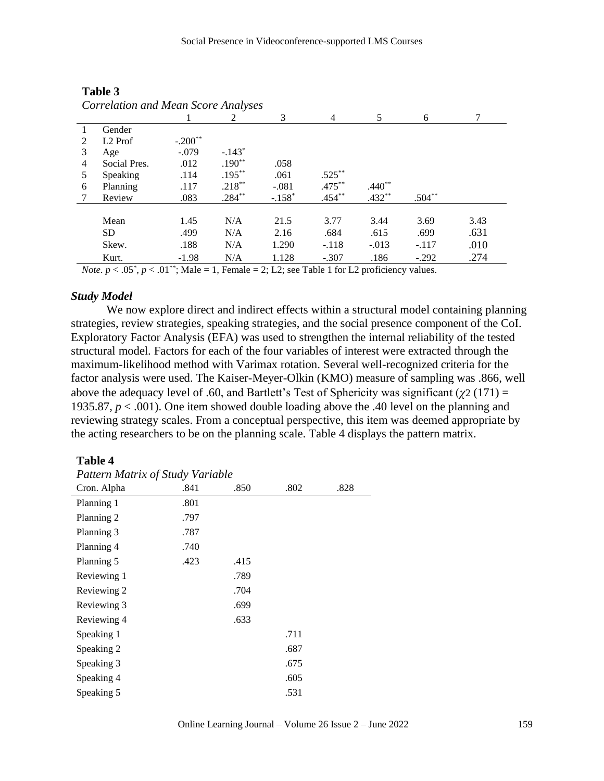| <b>Correlation and Mean Score Analyses</b> |                     |           |           |          |                |          |          |      |
|--------------------------------------------|---------------------|-----------|-----------|----------|----------------|----------|----------|------|
|                                            |                     |           | 2         | 3        | $\overline{4}$ | 5        | 6        | 7    |
|                                            | Gender              |           |           |          |                |          |          |      |
| 2                                          | L <sub>2</sub> Prof | $-.200**$ |           |          |                |          |          |      |
| 3                                          | Age                 | $-.079$   | $-.143*$  |          |                |          |          |      |
| 4                                          | Social Pres.        | .012      | $.190**$  | .058     |                |          |          |      |
| 5                                          | Speaking            | .114      | $.195***$ | .061     | $.525***$      |          |          |      |
| 6                                          | Planning            | .117      | $.218***$ | $-.081$  | $.475***$      | $.440**$ |          |      |
|                                            | Review              | .083      | $.284***$ | $-.158*$ | $.454***$      | $.432**$ | $.504**$ |      |
|                                            |                     |           |           |          |                |          |          |      |
|                                            | Mean                | 1.45      | N/A       | 21.5     | 3.77           | 3.44     | 3.69     | 3.43 |
|                                            | <b>SD</b>           | .499      | N/A       | 2.16     | .684           | .615     | .699     | .631 |
|                                            | Skew.               | .188      | N/A       | 1.290    | $-.118$        | $-.013$  | $-.117$  | .010 |
|                                            | Kurt.               | $-1.98$   | N/A       | 1.128    | $-.307$        | .186     | $-.292$  | .274 |

# **Table 3**

*Note.*  $p < .05^*$ ,  $p < .01^{**}$ ; Male = 1, Female = 2; L2; see Table 1 for L2 proficiency values.

## *Study Model*

We now explore direct and indirect effects within a structural model containing planning strategies, review strategies, speaking strategies, and the social presence component of the CoI. Exploratory Factor Analysis (EFA) was used to strengthen the internal reliability of the tested structural model. Factors for each of the four variables of interest were extracted through the maximum-likelihood method with Varimax rotation. Several well-recognized criteria for the factor analysis were used. The Kaiser-Meyer-Olkin (KMO) measure of sampling was .866, well above the adequacy level of .60, and Bartlett's Test of Sphericity was significant ( $\gamma$ 2 (171) = 1935.87, *p* < .001). One item showed double loading above the .40 level on the planning and reviewing strategy scales. From a conceptual perspective, this item was deemed appropriate by the acting researchers to be on the planning scale. Table 4 displays the pattern matrix.

#### **Table 4**

| <b>Pattern Matrix of Study Variable</b> |      |      |      |      |  |  |  |
|-----------------------------------------|------|------|------|------|--|--|--|
| Cron. Alpha                             | .841 | .850 | .802 | .828 |  |  |  |
| Planning 1                              | .801 |      |      |      |  |  |  |
| Planning 2                              | .797 |      |      |      |  |  |  |
| Planning 3                              | .787 |      |      |      |  |  |  |
| Planning 4                              | .740 |      |      |      |  |  |  |
| Planning 5                              | .423 | .415 |      |      |  |  |  |
| Reviewing 1                             |      | .789 |      |      |  |  |  |
| Reviewing 2                             |      | .704 |      |      |  |  |  |
| Reviewing 3                             |      | .699 |      |      |  |  |  |
| Reviewing 4                             |      | .633 |      |      |  |  |  |
| Speaking 1                              |      |      | .711 |      |  |  |  |
| Speaking 2                              |      |      | .687 |      |  |  |  |
| Speaking 3                              |      |      | .675 |      |  |  |  |
| Speaking 4                              |      |      | .605 |      |  |  |  |
| Speaking 5                              |      |      | .531 |      |  |  |  |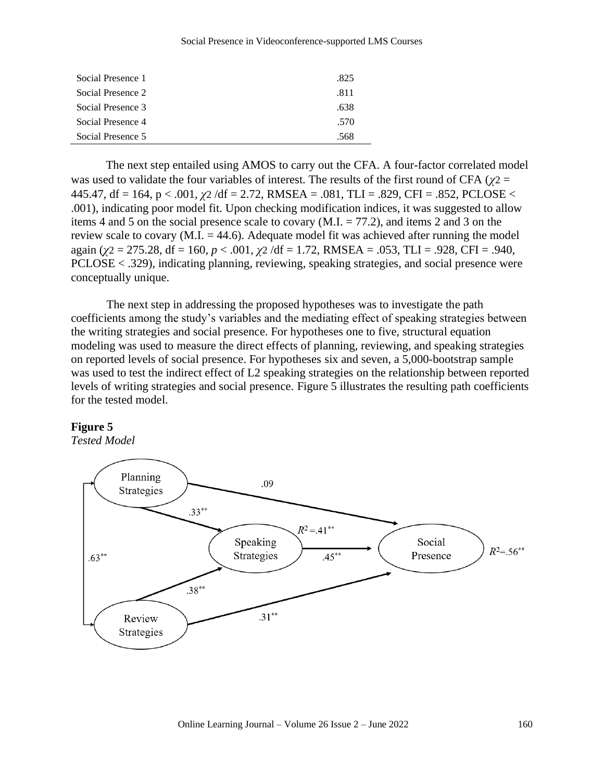#### Social Presence in Videoconference-supported LMS Courses

| Social Presence 1 | .825 |
|-------------------|------|
| Social Presence 2 | -811 |
| Social Presence 3 | .638 |
| Social Presence 4 | .570 |
| Social Presence 5 | .568 |

The next step entailed using AMOS to carry out the CFA. A four-factor correlated model was used to validate the four variables of interest. The results of the first round of CFA ( $\gamma$ 2 = 445.47, df = 164, p < .001, *χ*2 /df = 2.72, RMSEA = .081, TLI = .829, CFI = .852, PCLOSE < .001), indicating poor model fit. Upon checking modification indices, it was suggested to allow items 4 and 5 on the social presence scale to covary (M.I. = 77.2), and items 2 and 3 on the review scale to covary  $(M.I. = 44.6)$ . Adequate model fit was achieved after running the model again (*χ*2 = 275.28, df = 160, *p* < .001, *χ*2 /df = 1.72, RMSEA = .053, TLI = .928, CFI = .940, PCLOSE < .329), indicating planning, reviewing, speaking strategies, and social presence were conceptually unique.

The next step in addressing the proposed hypotheses was to investigate the path coefficients among the study's variables and the mediating effect of speaking strategies between the writing strategies and social presence. For hypotheses one to five, structural equation modeling was used to measure the direct effects of planning, reviewing, and speaking strategies on reported levels of social presence. For hypotheses six and seven, a 5,000-bootstrap sample was used to test the indirect effect of L2 speaking strategies on the relationship between reported levels of writing strategies and social presence. Figure 5 illustrates the resulting path coefficients for the tested model.

#### **Figure 5**

*Tested Model*

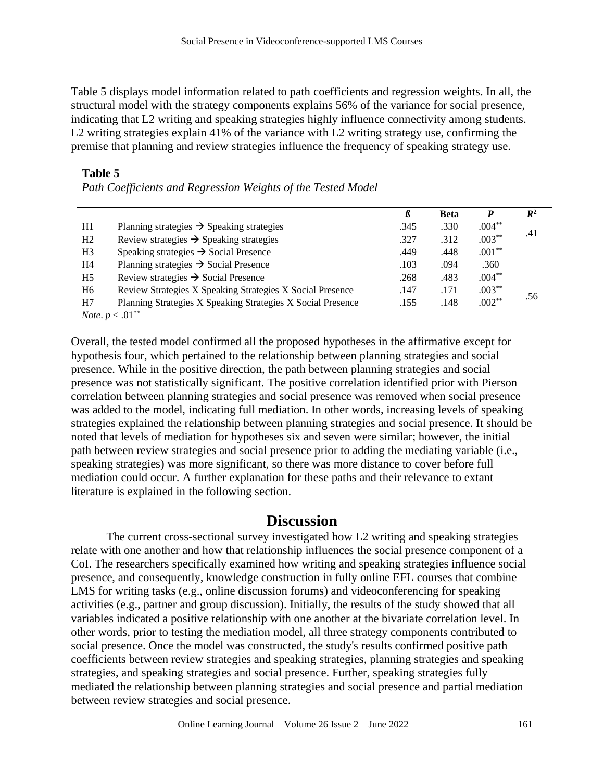Table 5 displays model information related to path coefficients and regression weights. In all, the structural model with the strategy components explains 56% of the variance for social presence, indicating that L2 writing and speaking strategies highly influence connectivity among students. L2 writing strategies explain 41% of the variance with L2 writing strategy use, confirming the premise that planning and review strategies influence the frequency of speaking strategy use.

|    |                                                             | ß    | <b>Beta</b> |           | $\mathbb{R}^2$ |
|----|-------------------------------------------------------------|------|-------------|-----------|----------------|
| H1 | Planning strategies $\rightarrow$ Speaking strategies       | .345 | .330        | $.004***$ |                |
| H2 | Review strategies $\rightarrow$ Speaking strategies         | .327 | .312        | $.003***$ | .41            |
| H3 | Speaking strategies $\rightarrow$ Social Presence           | .449 | .448        | $.001**$  |                |
| Η4 | Planning strategies $\rightarrow$ Social Presence           | .103 | .094        | .360      |                |
| H5 | Review strategies $\rightarrow$ Social Presence             | .268 | .483        | $.004***$ |                |
| H6 | Review Strategies X Speaking Strategies X Social Presence   | .147 | .171        | $.003***$ |                |
| H7 | Planning Strategies X Speaking Strategies X Social Presence | .155 | .148        | $.002**$  | .56            |

#### **Table 5**

*Path Coefficients and Regression Weights of the Tested Model*

*Note*.  $p < .01^{**}$ 

Overall, the tested model confirmed all the proposed hypotheses in the affirmative except for hypothesis four, which pertained to the relationship between planning strategies and social presence. While in the positive direction, the path between planning strategies and social presence was not statistically significant. The positive correlation identified prior with Pierson correlation between planning strategies and social presence was removed when social presence was added to the model, indicating full mediation. In other words, increasing levels of speaking strategies explained the relationship between planning strategies and social presence. It should be noted that levels of mediation for hypotheses six and seven were similar; however, the initial path between review strategies and social presence prior to adding the mediating variable (i.e., speaking strategies) was more significant, so there was more distance to cover before full mediation could occur. A further explanation for these paths and their relevance to extant literature is explained in the following section.

# **Discussion**

The current cross-sectional survey investigated how L2 writing and speaking strategies relate with one another and how that relationship influences the social presence component of a CoI. The researchers specifically examined how writing and speaking strategies influence social presence, and consequently, knowledge construction in fully online EFL courses that combine LMS for writing tasks (e.g., online discussion forums) and videoconferencing for speaking activities (e.g., partner and group discussion). Initially, the results of the study showed that all variables indicated a positive relationship with one another at the bivariate correlation level. In other words, prior to testing the mediation model, all three strategy components contributed to social presence. Once the model was constructed, the study's results confirmed positive path coefficients between review strategies and speaking strategies, planning strategies and speaking strategies, and speaking strategies and social presence. Further, speaking strategies fully mediated the relationship between planning strategies and social presence and partial mediation between review strategies and social presence.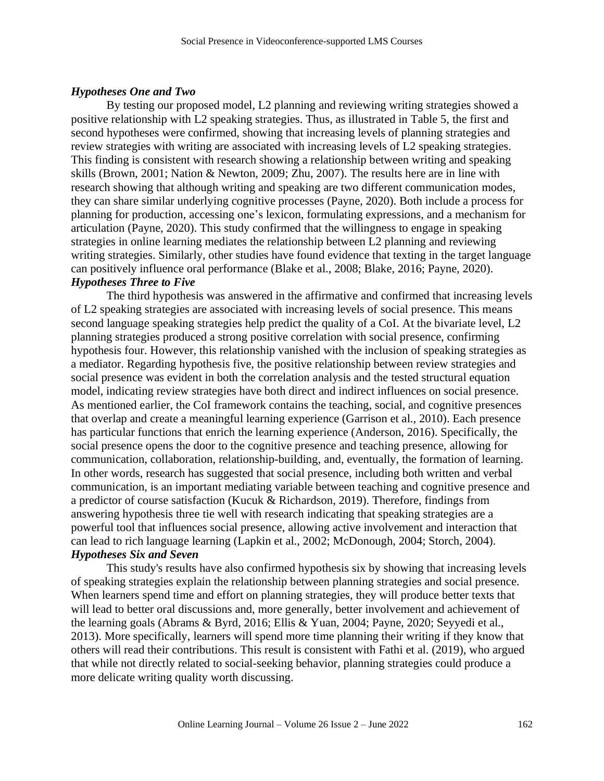#### *Hypotheses One and Two*

By testing our proposed model, L2 planning and reviewing writing strategies showed a positive relationship with L2 speaking strategies. Thus, as illustrated in Table 5, the first and second hypotheses were confirmed, showing that increasing levels of planning strategies and review strategies with writing are associated with increasing levels of L2 speaking strategies. This finding is consistent with research showing a relationship between writing and speaking skills (Brown, 2001; Nation & Newton, 2009; Zhu, 2007). The results here are in line with research showing that although writing and speaking are two different communication modes, they can share similar underlying cognitive processes (Payne, 2020). Both include a process for planning for production, accessing one's lexicon, formulating expressions, and a mechanism for articulation (Payne, 2020). This study confirmed that the willingness to engage in speaking strategies in online learning mediates the relationship between L2 planning and reviewing writing strategies. Similarly, other studies have found evidence that texting in the target language can positively influence oral performance (Blake et al., 2008; Blake, 2016; Payne, 2020). *Hypotheses Three to Five*

The third hypothesis was answered in the affirmative and confirmed that increasing levels of L2 speaking strategies are associated with increasing levels of social presence. This means second language speaking strategies help predict the quality of a CoI. At the bivariate level, L2 planning strategies produced a strong positive correlation with social presence, confirming hypothesis four. However, this relationship vanished with the inclusion of speaking strategies as a mediator. Regarding hypothesis five, the positive relationship between review strategies and social presence was evident in both the correlation analysis and the tested structural equation model, indicating review strategies have both direct and indirect influences on social presence. As mentioned earlier, the CoI framework contains the teaching, social, and cognitive presences that overlap and create a meaningful learning experience (Garrison et al., 2010). Each presence has particular functions that enrich the learning experience (Anderson, 2016). Specifically, the social presence opens the door to the cognitive presence and teaching presence, allowing for communication, collaboration, relationship-building, and, eventually, the formation of learning. In other words, research has suggested that social presence, including both written and verbal communication, is an important mediating variable between teaching and cognitive presence and a predictor of course satisfaction (Kucuk & Richardson, 2019). Therefore, findings from answering hypothesis three tie well with research indicating that speaking strategies are a powerful tool that influences social presence, allowing active involvement and interaction that can lead to rich language learning (Lapkin et al., 2002; McDonough, 2004; Storch, 2004). *Hypotheses Six and Seven*

This study's results have also confirmed hypothesis six by showing that increasing levels of speaking strategies explain the relationship between planning strategies and social presence. When learners spend time and effort on planning strategies, they will produce better texts that will lead to better oral discussions and, more generally, better involvement and achievement of the learning goals (Abrams & Byrd, 2016; Ellis & Yuan, 2004; Payne, 2020; Seyyedi et al., 2013). More specifically, learners will spend more time planning their writing if they know that others will read their contributions. This result is consistent with Fathi et al. (2019), who argued that while not directly related to social-seeking behavior, planning strategies could produce a more delicate writing quality worth discussing.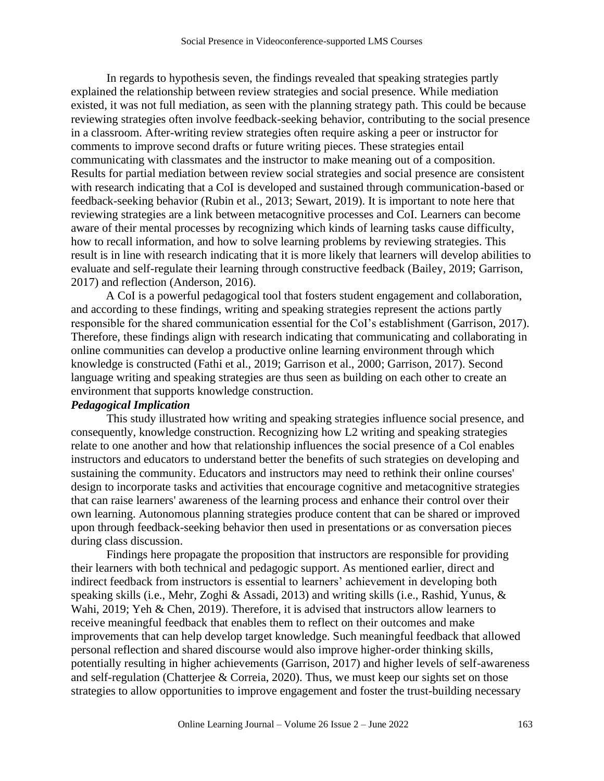In regards to hypothesis seven, the findings revealed that speaking strategies partly explained the relationship between review strategies and social presence. While mediation existed, it was not full mediation, as seen with the planning strategy path. This could be because reviewing strategies often involve feedback-seeking behavior, contributing to the social presence in a classroom. After-writing review strategies often require asking a peer or instructor for comments to improve second drafts or future writing pieces. These strategies entail communicating with classmates and the instructor to make meaning out of a composition. Results for partial mediation between review social strategies and social presence are consistent with research indicating that a CoI is developed and sustained through communication-based or feedback-seeking behavior (Rubin et al., 2013; Sewart, 2019). It is important to note here that reviewing strategies are a link between metacognitive processes and CoI. Learners can become aware of their mental processes by recognizing which kinds of learning tasks cause difficulty, how to recall information, and how to solve learning problems by reviewing strategies. This result is in line with research indicating that it is more likely that learners will develop abilities to evaluate and self-regulate their learning through constructive feedback (Bailey, 2019; Garrison, 2017) and reflection (Anderson, 2016).

A CoI is a powerful pedagogical tool that fosters student engagement and collaboration, and according to these findings, writing and speaking strategies represent the actions partly responsible for the shared communication essential for the CoI's establishment (Garrison, 2017). Therefore, these findings align with research indicating that communicating and collaborating in online communities can develop a productive online learning environment through which knowledge is constructed (Fathi et al., 2019; Garrison et al., 2000; Garrison, 2017). Second language writing and speaking strategies are thus seen as building on each other to create an environment that supports knowledge construction.

# *Pedagogical Implication*

This study illustrated how writing and speaking strategies influence social presence, and consequently, knowledge construction. Recognizing how L2 writing and speaking strategies relate to one another and how that relationship influences the social presence of a Col enables instructors and educators to understand better the benefits of such strategies on developing and sustaining the community. Educators and instructors may need to rethink their online courses' design to incorporate tasks and activities that encourage cognitive and metacognitive strategies that can raise learners' awareness of the learning process and enhance their control over their own learning. Autonomous planning strategies produce content that can be shared or improved upon through feedback-seeking behavior then used in presentations or as conversation pieces during class discussion.

Findings here propagate the proposition that instructors are responsible for providing their learners with both technical and pedagogic support. As mentioned earlier, direct and indirect feedback from instructors is essential to learners' achievement in developing both speaking skills (i.e., Mehr, Zoghi & Assadi, 2013) and writing skills (i.e., Rashid, Yunus, & Wahi, 2019; Yeh & Chen, 2019). Therefore, it is advised that instructors allow learners to receive meaningful feedback that enables them to reflect on their outcomes and make improvements that can help develop target knowledge. Such meaningful feedback that allowed personal reflection and shared discourse would also improve higher-order thinking skills, potentially resulting in higher achievements (Garrison, 2017) and higher levels of self-awareness and self-regulation (Chatterjee & Correia, 2020). Thus, we must keep our sights set on those strategies to allow opportunities to improve engagement and foster the trust-building necessary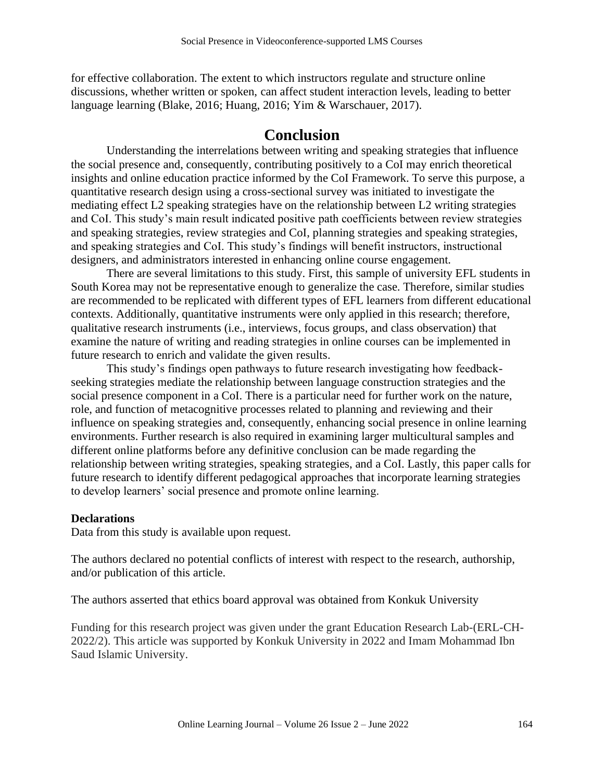for effective collaboration. The extent to which instructors regulate and structure online discussions, whether written or spoken, can affect student interaction levels, leading to better language learning (Blake, 2016; Huang, 2016; Yim & Warschauer, 2017).

# **Conclusion**

Understanding the interrelations between writing and speaking strategies that influence the social presence and, consequently, contributing positively to a CoI may enrich theoretical insights and online education practice informed by the CoI Framework. To serve this purpose, a quantitative research design using a cross-sectional survey was initiated to investigate the mediating effect L2 speaking strategies have on the relationship between L2 writing strategies and CoI. This study's main result indicated positive path coefficients between review strategies and speaking strategies, review strategies and CoI, planning strategies and speaking strategies, and speaking strategies and CoI. This study's findings will benefit instructors, instructional designers, and administrators interested in enhancing online course engagement.

There are several limitations to this study. First, this sample of university EFL students in South Korea may not be representative enough to generalize the case. Therefore, similar studies are recommended to be replicated with different types of EFL learners from different educational contexts. Additionally, quantitative instruments were only applied in this research; therefore, qualitative research instruments (i.e., interviews, focus groups, and class observation) that examine the nature of writing and reading strategies in online courses can be implemented in future research to enrich and validate the given results.

This study's findings open pathways to future research investigating how feedbackseeking strategies mediate the relationship between language construction strategies and the social presence component in a CoI. There is a particular need for further work on the nature, role, and function of metacognitive processes related to planning and reviewing and their influence on speaking strategies and, consequently, enhancing social presence in online learning environments. Further research is also required in examining larger multicultural samples and different online platforms before any definitive conclusion can be made regarding the relationship between writing strategies, speaking strategies, and a CoI. Lastly, this paper calls for future research to identify different pedagogical approaches that incorporate learning strategies to develop learners' social presence and promote online learning.

# **Declarations**

Data from this study is available upon request.

The authors declared no potential conflicts of interest with respect to the research, authorship, and/or publication of this article.

The authors asserted that ethics board approval was obtained from Konkuk University

Funding for this research project was given under the grant Education Research Lab-(ERL-CH-2022/2). This article was supported by Konkuk University in 2022 and Imam Mohammad Ibn Saud Islamic University.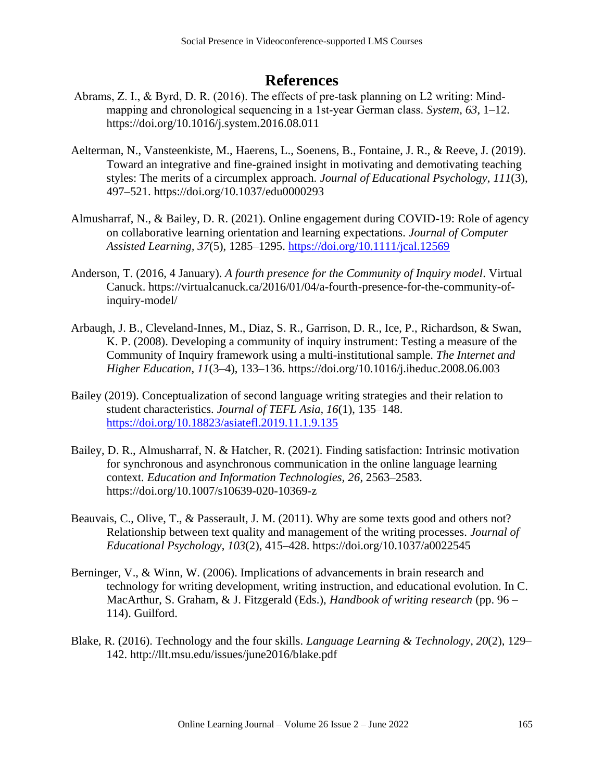# **References**

- Abrams, Z. I., & Byrd, D. R. (2016). The effects of pre‐task planning on L2 writing: Mind‐ mapping and chronological sequencing in a 1st-year German class. *System*, 63, 1–12. <https://doi.org/10.1016/j.system.2016.08.011>
- Aelterman, N., Vansteenkiste, M., Haerens, L., Soenens, B., Fontaine, J. R., & Reeve, J. (2019). Toward an integrative and fine-grained insight in motivating and demotivating teaching styles: The merits of a circumplex approach. *Journal of Educational Psychology*, *111*(3), 497–521.<https://doi.org/10.1037/edu0000293>
- Almusharraf, N., & Bailey, D. R. (2021). Online engagement during COVID-19: Role of agency on collaborative learning orientation and learning expectations. *Journal of Computer Assisted Learning, 37*(5), 1285–1295.<https://doi.org/10.1111/jcal.12569>
- Anderson, T. (2016, 4 January). *A fourth presence for the Community of Inquiry model*. Virtual Canuck. [https://virtualcanuck.ca/2016/01/04/a-fourth-presence-for-the-community-of](https://virtualcanuck.ca/2016/01/04/a-fourth-presence-for-the-community-of-inquiry-model/)[inquiry-model/](https://virtualcanuck.ca/2016/01/04/a-fourth-presence-for-the-community-of-inquiry-model/)
- Arbaugh, J. B., Cleveland-Innes, M., Diaz, S. R., Garrison, D. R., Ice, P., Richardson, & Swan, K. P. (2008). Developing a community of inquiry instrument: Testing a measure of the Community of Inquiry framework using a multi-institutional sample. *The Internet and Higher Education*, *11*(3–4), 133–136.<https://doi.org/10.1016/j.iheduc.2008.06.003>
- Bailey (2019). Conceptualization of second language writing strategies and their relation to student characteristics. *Journal of TEFL Asia, 16*(1), 135–148. <https://doi.org/10.18823/asiatefl.2019.11.1.9.135>
- Bailey, D. R., Almusharraf, N. & Hatcher, R. (2021). Finding satisfaction: Intrinsic motivation for synchronous and asynchronous communication in the online language learning context. *Education and Information Technologies, 26*, 2563–2583. <https://doi.org/10.1007/s10639-020-10369-z>
- Beauvais, C., Olive, T., & Passerault, J. M. (2011). Why are some texts good and others not? Relationship between text quality and management of the writing processes. *Journal of Educational Psychology*, *103*(2), 415–428. <https://doi.org/10.1037/a0022545>
- Berninger, V., & Winn, W. (2006). Implications of advancements in brain research and technology for writing development, writing instruction, and educational evolution. In C. MacArthur, S. Graham, & J. Fitzgerald (Eds.), *Handbook of writing research* (pp. 96 – 114). Guilford.
- Blake, R. (2016). Technology and the four skills. *Language Learning & Technology*, *20*(2), 129– 142.<http://llt.msu.edu/issues/june2016/blake.pdf>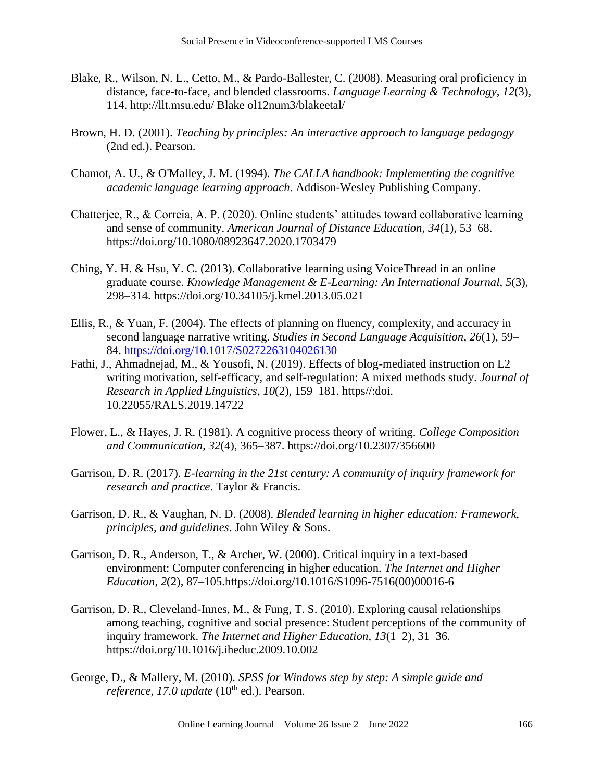- Blake, R., Wilson, N. L., Cetto, M., & Pardo-Ballester, C. (2008). Measuring oral proficiency in distance, face-to-face, and blended classrooms. *Language Learning & Technology*, *12*(3), 114. [http://llt.msu.edu/ Blake ol12num3/blakeetal/](http://llt.msu.edu/vol12num3/blakeetal/)
- Brown, H. D. (2001). *Teaching by principles: An interactive approach to language pedagogy*  (2nd ed.). Pearson.
- Chamot, A. U., & O'Malley, J. M. (1994). *The CALLA handbook: Implementing the cognitive academic language learning approach.* Addison-Wesley Publishing Company.
- Chatterjee, R., & Correia, A. P. (2020). Online students' attitudes toward collaborative learning and sense of community. *American Journal of Distance Education*, *34*(1), 53–68. <https://doi.org/10.1080/08923647.2020.1703479>
- Ching, Y. H. & Hsu, Y. C. (2013). Collaborative learning using VoiceThread in an online graduate course. *Knowledge Management & E-Learning: An International Journal*, *5*(3), 298–314.<https://doi.org/10.34105/j.kmel.2013.05.021>
- Ellis, R., & Yuan, F. (2004). The effects of planning on fluency, complexity, and accuracy in second language narrative writing. *Studies in Second Language Acquisition*, *26*(1), 59– 84. <https://doi.org/10.1017/S0272263104026130>
- Fathi, J., Ahmadnejad, M., & Yousofi, N. (2019). Effects of blog-mediated instruction on L2 writing motivation, self-efficacy, and self-regulation: A mixed methods study. *Journal of Research in Applied Linguistics*, *10*(2), 159–181. https//:doi[.](https://dx.doi.org/10.22055/rals.2019.14722) [10.22055/RALS.2019.14722](https://dx.doi.org/10.22055/rals.2019.14722)
- Flower, L., & Hayes, J. R. (1981). A cognitive process theory of writing. *College Composition and Communication*, *32*(4), 365–387[.](https://doi.org/10.2307/356600) <https://doi.org/10.2307/356600>
- Garrison, D. R. (2017). *E-learning in the 21st century: A community of inquiry framework for research and practice*. Taylor & Francis.
- Garrison, D. R., & Vaughan, N. D. (2008). *Blended learning in higher education: Framework, principles, and guidelines*. John Wiley & Sons.
- Garrison, D. R., Anderson, T., & Archer, W. (2000). Critical inquiry in a text-based environment: Computer conferencing in higher education. *The Internet and Higher Education*, *2*(2), 87–105[.https://doi.org/10.1016/S1096-7516\(00\)00016-6](https://doi.org/10.1016/S1096-7516(00)00016-6)
- Garrison, D. R., Cleveland-Innes, M., & Fung, T. S. (2010). Exploring causal relationships among teaching, cognitive and social presence: Student perceptions of the community of inquiry framework. *The Internet and Higher Education*, *13*(1–2), 31–36[.](https://doi.org/10.1016/j.iheduc.2009.10.002) <https://doi.org/10.1016/j.iheduc.2009.10.002>
- George, D., & Mallery, M. (2010). *SPSS for Windows step by step: A simple guide and reference, 17.0 update* (10<sup>th</sup> ed.). Pearson.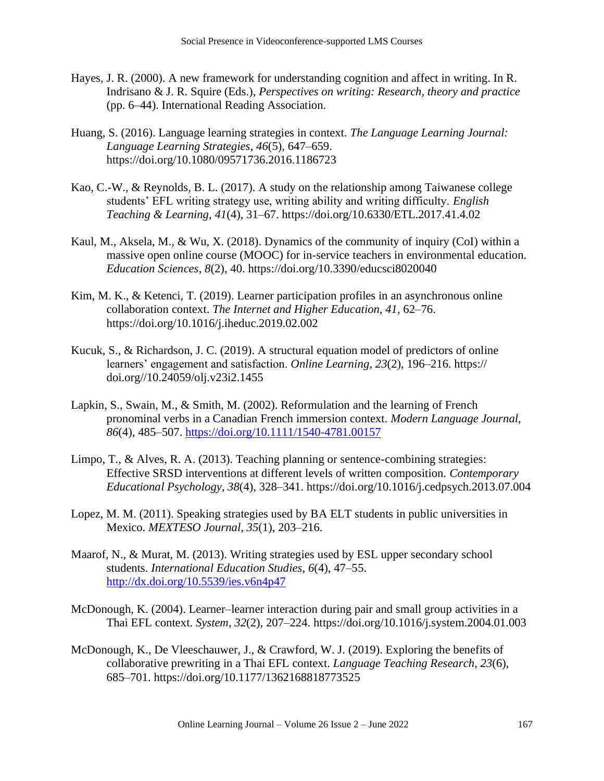- Hayes, J. R. (2000). A new framework for understanding cognition and affect in writing. In R. Indrisano & J. R. Squire (Eds.), *Perspectives on writing: Research, theory and practice* (pp. 6–44). International Reading Association.
- Huang, S. (2016). Language learning strategies in context. *The Language Learning Journal: Language Learning Strategies*, *46*(5), 647–659[.](https://doi.org/10.1080/09571736.2016.1186723) <https://doi.org/10.1080/09571736.2016.1186723>
- Kao, C.-W., & Reynolds, B. L. (2017). A study on the relationship among Taiwanese college students' EFL writing strategy use, writing ability and writing difficulty. *English Teaching & Learning*, *41*(4), 31–67. https://doi.org[/10.6330/ETL.2017.41.4.02](https://www.researchgate.net/deref/http%3A%2F%2Fdx.doi.org%2F10.6330%2FETL.2017.41.4.02?_sg%5B0%5D=sIAIg7OOs4P2sQdFzrEMJyEoBgTpS3c8xGZHuQROkH8QvYPFELKDrjKolnlVfmsWHitddktK6qnvwgfEp66JDh6VMQ.5k0r2_IHL7n4zlURaKVWc2qrUd-GilbJNDVIkyzUjJPt7RIlHi9e5Niy1A5oH5Q4FZq00CEW7U3YfXUQisPQnQ)
- Kaul, M., Aksela, M., & Wu, X. (2018). Dynamics of the community of inquiry (CoI) within a massive open online course (MOOC) for in-service teachers in environmental education. *Education Sciences*, *8*(2), 40.<https://doi.org/10.3390/educsci8020040>
- Kim, M. K., & Ketenci, T. (2019). Learner participation profiles in an asynchronous online collaboration context. *The Internet and Higher Education*, *41*, 62–76. <https://doi.org/10.1016/j.iheduc.2019.02.002>
- Kucuk, S., & Richardson, J. C. (2019). A structural equation model of predictors of online learners' engagement and satisfaction. *Online Learning*, *23*(2), 196–216. https:// doi.org//10.24059/olj.v23i2.1455
- Lapkin, S., Swain, M., & Smith, M. (2002). Reformulation and the learning of French pronominal verbs in a Canadian French immersion context. *Modern Language Journal*, *86*(4), 485–507.<https://doi.org/10.1111/1540-4781.00157>
- Limpo, T., & Alves, R. A. (2013). Teaching planning or sentence-combining strategies: Effective SRSD interventions at different levels of written composition. *Contemporary Educational Psychology*, *38*(4), 328–341. <https://doi.org/10.1016/j.cedpsych.2013.07.004>
- Lopez, M. M. (2011). Speaking strategies used by BA ELT students in public universities in Mexico. *MEXTESO Journal*, *35*(1), 203–216.
- Maarof, N., & Murat, M. (2013). Writing strategies used by ESL upper secondary school students. *International Education Studies*, *6*(4), 47–55. <http://dx.doi.org/10.5539/ies.v6n4p47>
- McDonough, K. (2004). Learner–learner interaction during pair and small group activities in a Thai EFL context. *System*, *32*(2), 207–224.<https://doi.org/10.1016/j.system.2004.01.003>
- McDonough, K., De Vleeschauwer, J., & Crawford, W. J. (2019). Exploring the benefits of collaborative prewriting in a Thai EFL context. *Language Teaching Research*, *23*(6), 685–701.<https://doi.org/10.1177/1362168818773525>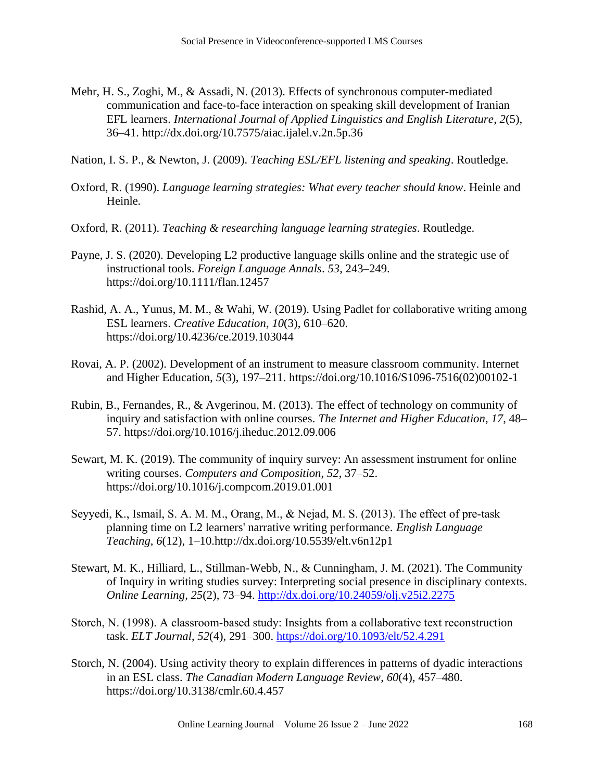- Mehr, H. S., Zoghi, M., & Assadi, N. (2013). Effects of synchronous computer-mediated communication and face-to-face interaction on speaking skill development of Iranian EFL learners. *International Journal of Applied Linguistics and English Literature*, *2*(5), 36–41.<http://dx.doi.org/10.7575/aiac.ijalel.v.2n.5p.36>
- Nation, I. S. P., & Newton, J. (2009). *Teaching ESL/EFL listening and speaking*. Routledge.
- Oxford, R. (1990). *Language learning strategies: What every teacher should know*. Heinle and Heinle.
- Oxford, R. (2011). *Teaching & researching language learning strategies*. Routledge.
- Payne, J. S. (2020). Developing L2 productive language skills online and the strategic use of instructional tools. *Foreign Language Annals*. *53*, 243–249. <https://doi.org/10.1111/flan.12457>
- Rashid, A. A., Yunus, M. M., & Wahi, W. (2019). Using Padlet for collaborative writing among ESL learners. *Creative Education*, *10*(3), 610–620. <https://doi.org/10.4236/ce.2019.103044>
- Rovai, A. P. (2002). Development of an instrument to measure classroom community. Internet and Higher Education, *5*(3), 197–211. [https://doi.org/10.1016/S1096-7516\(02\)00102-1](https://doi.org/10.1016/S1096-7516(02)00102-1)
- Rubin, B., Fernandes, R., & Avgerinou, M. (2013). The effect of technology on community of inquiry and satisfaction with online courses. *The Internet and Higher Education*, *17*, 48– 57. <https://doi.org/10.1016/j.iheduc.2012.09.006>
- Sewart, M. K. (2019). The community of inquiry survey: An assessment instrument for online writing courses. *Computers and Composition*, *52*, 37–52[.](https://doi.org/10.1016/j.compcom.2019.01.001) <https://doi.org/10.1016/j.compcom.2019.01.001>
- Seyyedi, K., Ismail, S. A. M. M., Orang, M., & Nejad, M. S. (2013). The effect of pre‐task planning time on L2 learners' narrative writing performance. *English Language Teaching*, *6*(12), 1–10[.http://dx.doi.org/10.5539/elt.v6n12p1](http://dx.doi.org/10.5539/elt.v6n12p1)
- Stewart, M. K., Hilliard, L., Stillman-Webb, N., & Cunningham, J. M. (2021). The Community of Inquiry in writing studies survey: Interpreting social presence in disciplinary contexts. *Online Learning*, *25*(2), 73–94. <http://dx.doi.org/10.24059/olj.v25i2.2275>
- Storch, N. (1998). A classroom‐based study: Insights from a collaborative text reconstruction task. *ELT Journal*, *52*(4), 291–300.<https://doi.org/10.1093/elt/52.4.291>
- Storch, N. (2004). Using activity theory to explain differences in patterns of dyadic interactions in an ESL class. *The Canadian Modern Language Review*, *60*(4), 457–480. <https://doi.org/10.3138/cmlr.60.4.457>